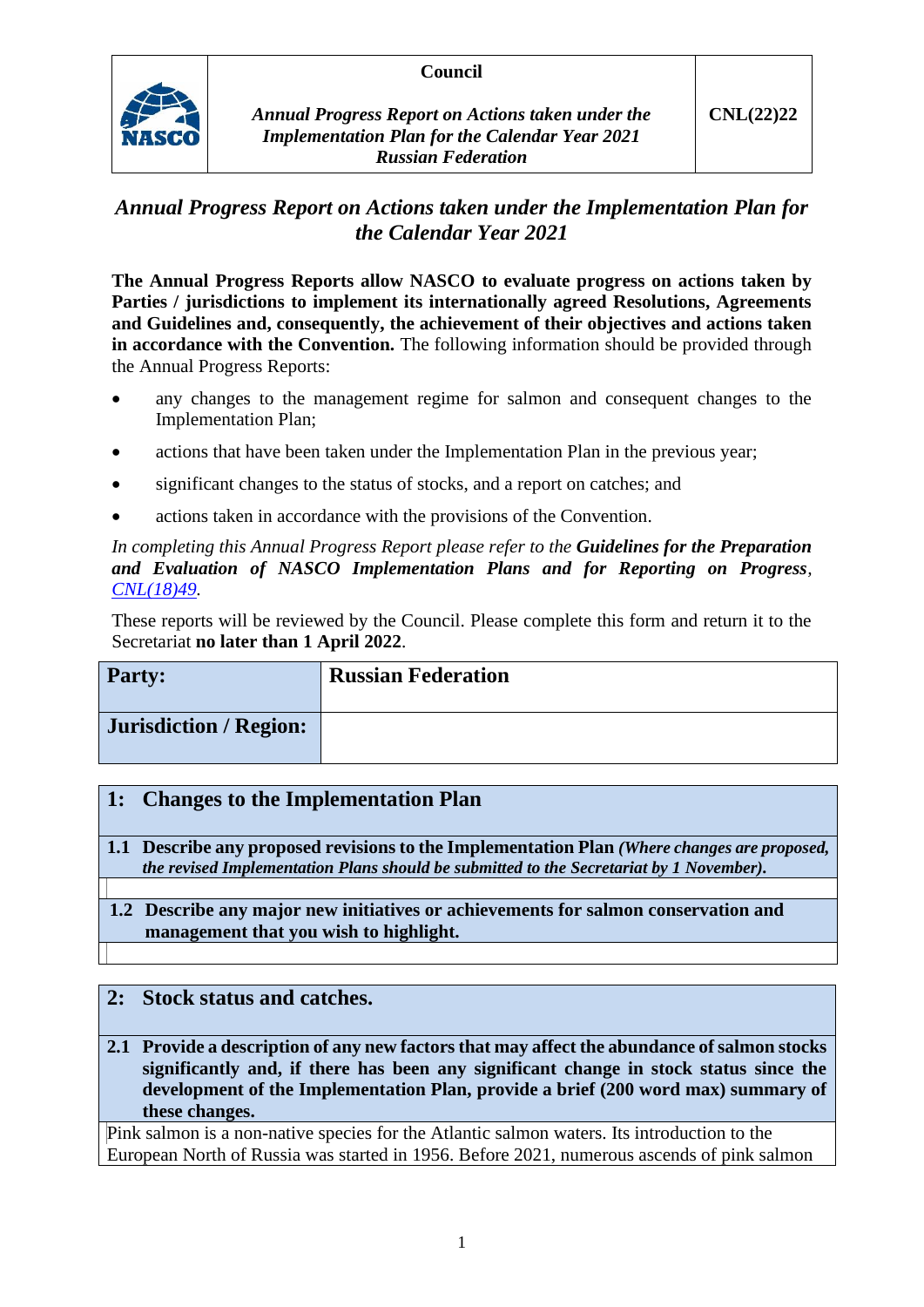### **Council**



*Annual Progress Report on Actions taken under the Implementation Plan for the Calendar Year 2021 Russian Federation*

# *Annual Progress Report on Actions taken under the Implementation Plan for the Calendar Year 2021*

**The Annual Progress Reports allow NASCO to evaluate progress on actions taken by Parties / jurisdictions to implement its internationally agreed Resolutions, Agreements and Guidelines and, consequently, the achievement of their objectives and actions taken in accordance with the Convention.** The following information should be provided through the Annual Progress Reports:

- any changes to the management regime for salmon and consequent changes to the Implementation Plan;
- actions that have been taken under the Implementation Plan in the previous year;
- significant changes to the status of stocks, and a report on catches; and
- actions taken in accordance with the provisions of the Convention.

*In completing this Annual Progress Report please refer to the Guidelines for the Preparation and Evaluation of NASCO Implementation Plans and for Reporting on Progress, [CNL\(18\)49.](https://nasco.int/wp-content/uploads/2020/02/CNL1849_Guidelines-for-the-Preparation-and-Evaluation-of-NASCO-Implementation-Plans-and-for-Reporting-on-Progress.pdf)*

These reports will be reviewed by the Council. Please complete this form and return it to the Secretariat **no later than 1 April 2022**.

| <b>Party:</b>                 | <b>Russian Federation</b> |
|-------------------------------|---------------------------|
| <b>Jurisdiction / Region:</b> |                           |

## **1: Changes to the Implementation Plan**

**1.1 Describe any proposed revisions to the Implementation Plan** *(Where changes are proposed, the revised Implementation Plans should be submitted to the Secretariat by 1 November).*

### **1.2 Describe any major new initiatives or achievements for salmon conservation and management that you wish to highlight.**

## **2: Stock status and catches.**

**2.1 Provide a description of any new factors that may affect the abundance of salmon stocks significantly and, if there has been any significant change in stock status since the development of the Implementation Plan, provide a brief (200 word max) summary of these changes.**

Pink salmon is a non-native species for the Atlantic salmon waters. Its introduction to the European North of Russia was started in 1956. Before 2021, numerous ascends of pink salmon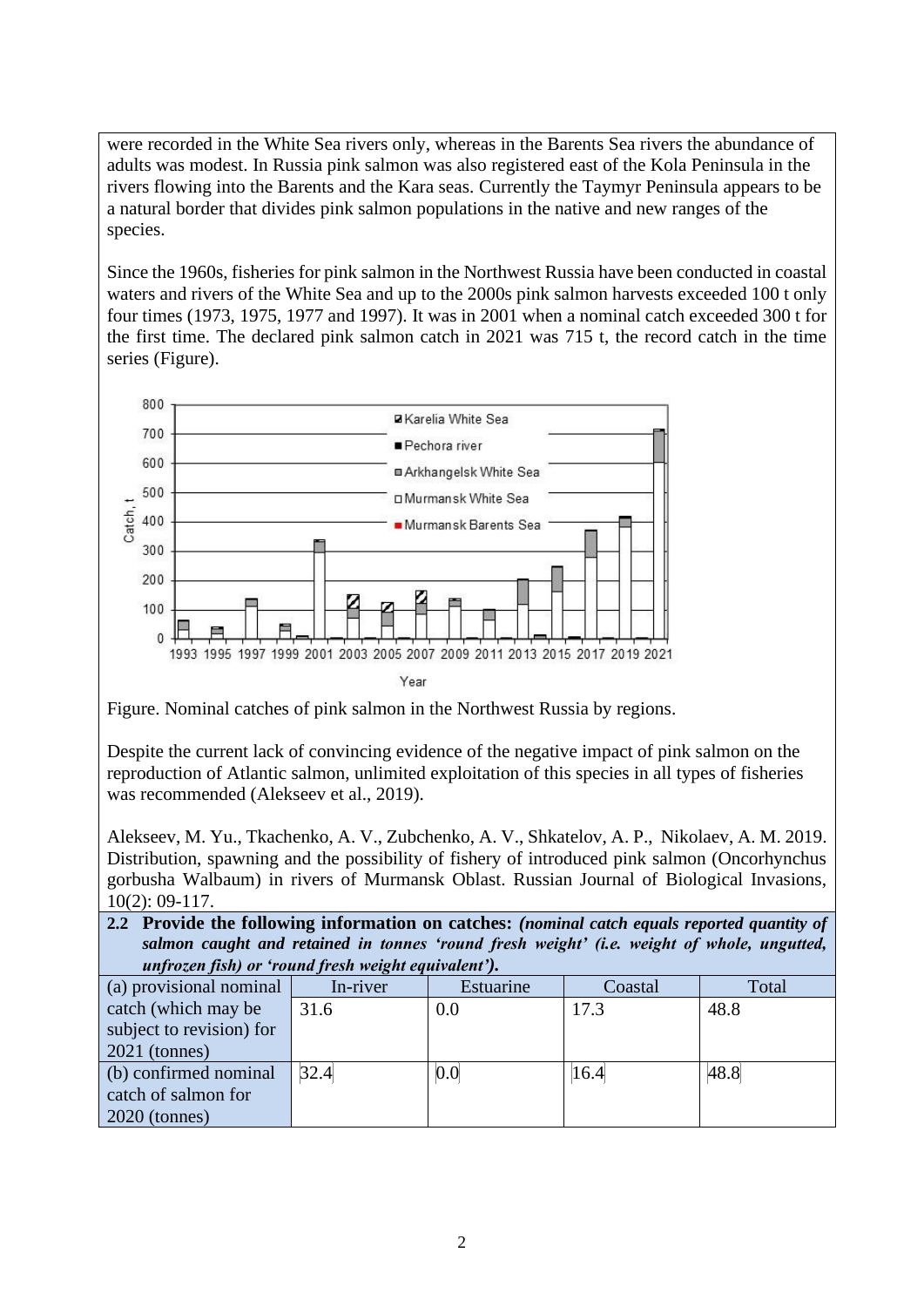were recorded in the White Sea rivers only, whereas in the Barents Sea rivers the abundance of adults was modest. In Russia pink salmon was also registered east of the Kola Peninsula in the rivers flowing into the Barents and the Kara seas. Currently the Taymyr Peninsula appears to be a natural border that divides pink salmon populations in the native and new ranges of the species.

Since the 1960s, fisheries for pink salmon in the Northwest Russia have been conducted in coastal waters and rivers of the White Sea and up to the 2000s pink salmon harvests exceeded 100 t only four times (1973, 1975, 1977 and 1997). It was in 2001 when a nominal catch exceeded 300 t for the first time. The declared pink salmon catch in 2021 was 715 t, the record catch in the time series (Figure).



Figure. Nominal catches of pink salmon in the Northwest Russia by regions.

Despite the current lack of convincing evidence of the negative impact of pink salmon on the reproduction of Atlantic salmon, unlimited exploitation of this species in all types of fisheries was recommended (Alekseev et al., 2019).

Alekseev, M. Yu., Tkachenko, A. V., Zubchenko, A. V., Shkatelov, A. P., Nikolaev, A. M. 2019. Distribution, spawning and the possibility of fishery of introduced pink salmon (Oncorhynchus gorbusha Walbaum) in rivers of Murmansk Oblast. Russian Journal of Biological Invasions, 10(2): 09-117.

| 2.2 Provide the following information on catches: <i>(nominal catch equals reported quantity of</i> |
|-----------------------------------------------------------------------------------------------------|
| salmon caught and retained in tonnes 'round fresh weight' (i.e. weight of whole, ungutted,          |
| unfrozen fish) or 'round fresh weight equivalent').                                                 |

| $\ldots$ , $\ldots$ , $\ldots$ , $\ldots$ , $\ldots$ , $\ldots$ , $\ldots$ , $\ldots$ , $\ldots$ , $\ldots$ , $\ldots$ , $\ldots$ , $\ldots$ |          |           |         |       |
|----------------------------------------------------------------------------------------------------------------------------------------------|----------|-----------|---------|-------|
| (a) provisional nominal                                                                                                                      | In-river | Estuarine | Coastal | Total |
| catch (which may be                                                                                                                          | 31.6     | 0.0       | 17.3    | 48.8  |
| subject to revision) for                                                                                                                     |          |           |         |       |
| $2021$ (tonnes)                                                                                                                              |          |           |         |       |
| (b) confirmed nominal                                                                                                                        | 32.4     | 0.0       | 16.4    | 48.8  |
| catch of salmon for                                                                                                                          |          |           |         |       |
| $2020$ (tonnes)                                                                                                                              |          |           |         |       |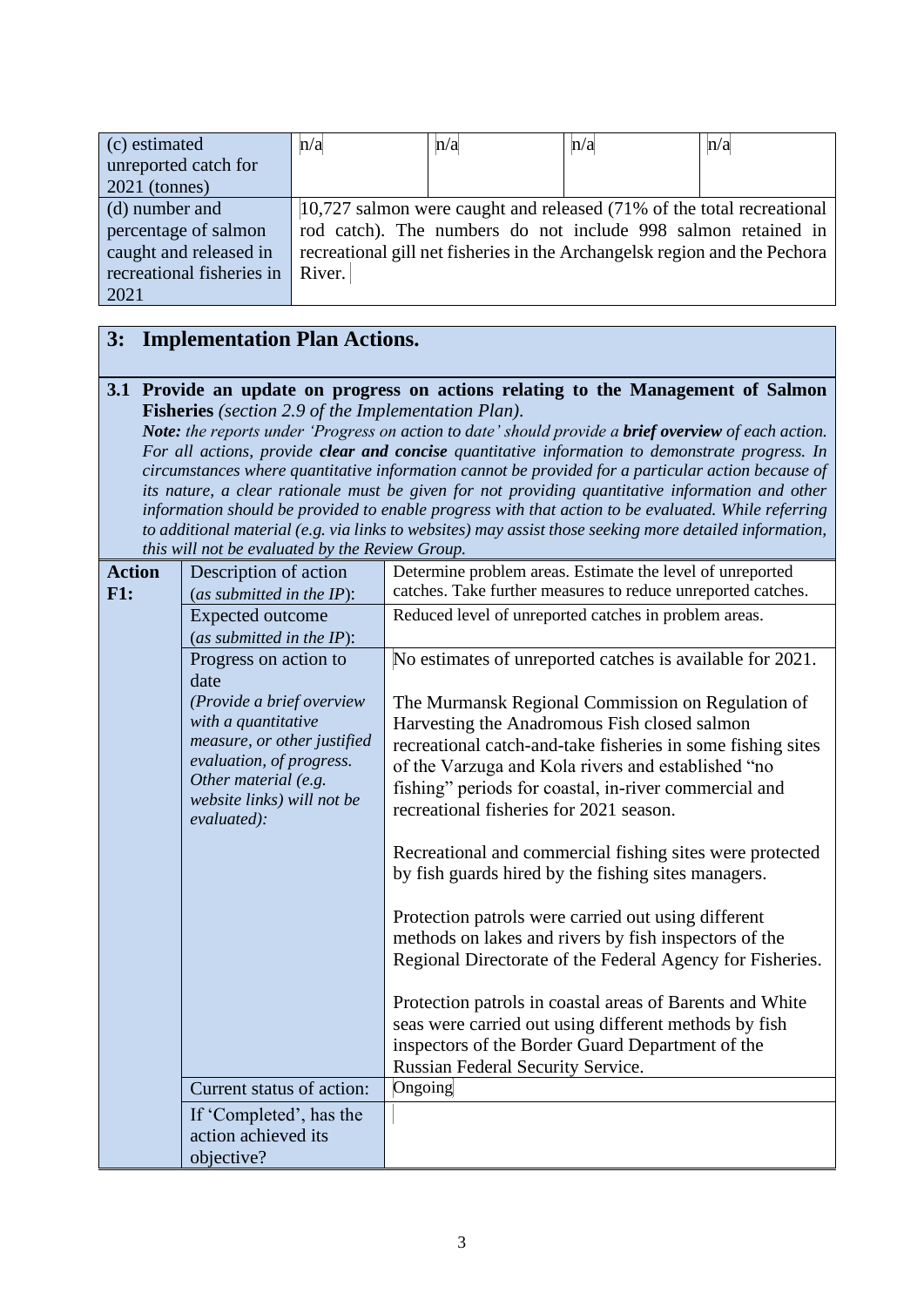| (c) estimated             | n/a    | n/a | n/a                                                                       | n/a |
|---------------------------|--------|-----|---------------------------------------------------------------------------|-----|
| unreported catch for      |        |     |                                                                           |     |
| $2021$ (tonnes)           |        |     |                                                                           |     |
| (d) number and            |        |     | 10,727 salmon were caught and released (71% of the total recreational     |     |
| percentage of salmon      |        |     | rod catch). The numbers do not include 998 salmon retained in             |     |
| caught and released in    |        |     | recreational gill net fisheries in the Archangelsk region and the Pechora |     |
| recreational fisheries in | River. |     |                                                                           |     |
| 2021                      |        |     |                                                                           |     |

## **3: Implementation Plan Actions.**

**3.1 Provide an update on progress on actions relating to the Management of Salmon Fisheries** *(section 2.9 of the Implementation Plan).*

*Note: the reports under 'Progress on action to date' should provide a brief overview of each action. For all actions, provide clear and concise quantitative information to demonstrate progress. In circumstances where quantitative information cannot be provided for a particular action because of its nature, a clear rationale must be given for not providing quantitative information and other information should be provided to enable progress with that action to be evaluated. While referring to additional material (e.g. via links to websites) may assist those seeking more detailed information, this will not be evaluated by the Review Group.*

| <b>Action</b> | Description of action                                                                                                                                                            | Determine problem areas. Estimate the level of unreported                                                                                                                                                                                                                                                                  |
|---------------|----------------------------------------------------------------------------------------------------------------------------------------------------------------------------------|----------------------------------------------------------------------------------------------------------------------------------------------------------------------------------------------------------------------------------------------------------------------------------------------------------------------------|
| F1:           | (as submitted in the $IP$ ):                                                                                                                                                     | catches. Take further measures to reduce unreported catches.                                                                                                                                                                                                                                                               |
|               | <b>Expected outcome</b>                                                                                                                                                          | Reduced level of unreported catches in problem areas.                                                                                                                                                                                                                                                                      |
|               | (as submitted in the $IP$ ):                                                                                                                                                     |                                                                                                                                                                                                                                                                                                                            |
|               | Progress on action to<br>date                                                                                                                                                    | No estimates of unreported catches is available for 2021.                                                                                                                                                                                                                                                                  |
|               | (Provide a brief overview<br>with a quantitative<br>measure, or other justified<br>evaluation, of progress.<br>Other material (e.g.<br>website links) will not be<br>evaluated): | The Murmansk Regional Commission on Regulation of<br>Harvesting the Anadromous Fish closed salmon<br>recreational catch-and-take fisheries in some fishing sites<br>of the Varzuga and Kola rivers and established "no<br>fishing" periods for coastal, in-river commercial and<br>recreational fisheries for 2021 season. |
|               |                                                                                                                                                                                  | Recreational and commercial fishing sites were protected<br>by fish guards hired by the fishing sites managers.                                                                                                                                                                                                            |
|               |                                                                                                                                                                                  | Protection patrols were carried out using different<br>methods on lakes and rivers by fish inspectors of the<br>Regional Directorate of the Federal Agency for Fisheries.                                                                                                                                                  |
|               |                                                                                                                                                                                  | Protection patrols in coastal areas of Barents and White<br>seas were carried out using different methods by fish<br>inspectors of the Border Guard Department of the<br>Russian Federal Security Service.                                                                                                                 |
|               | Current status of action:                                                                                                                                                        | Ongoing                                                                                                                                                                                                                                                                                                                    |
|               | If 'Completed', has the                                                                                                                                                          |                                                                                                                                                                                                                                                                                                                            |
|               | action achieved its                                                                                                                                                              |                                                                                                                                                                                                                                                                                                                            |
|               | objective?                                                                                                                                                                       |                                                                                                                                                                                                                                                                                                                            |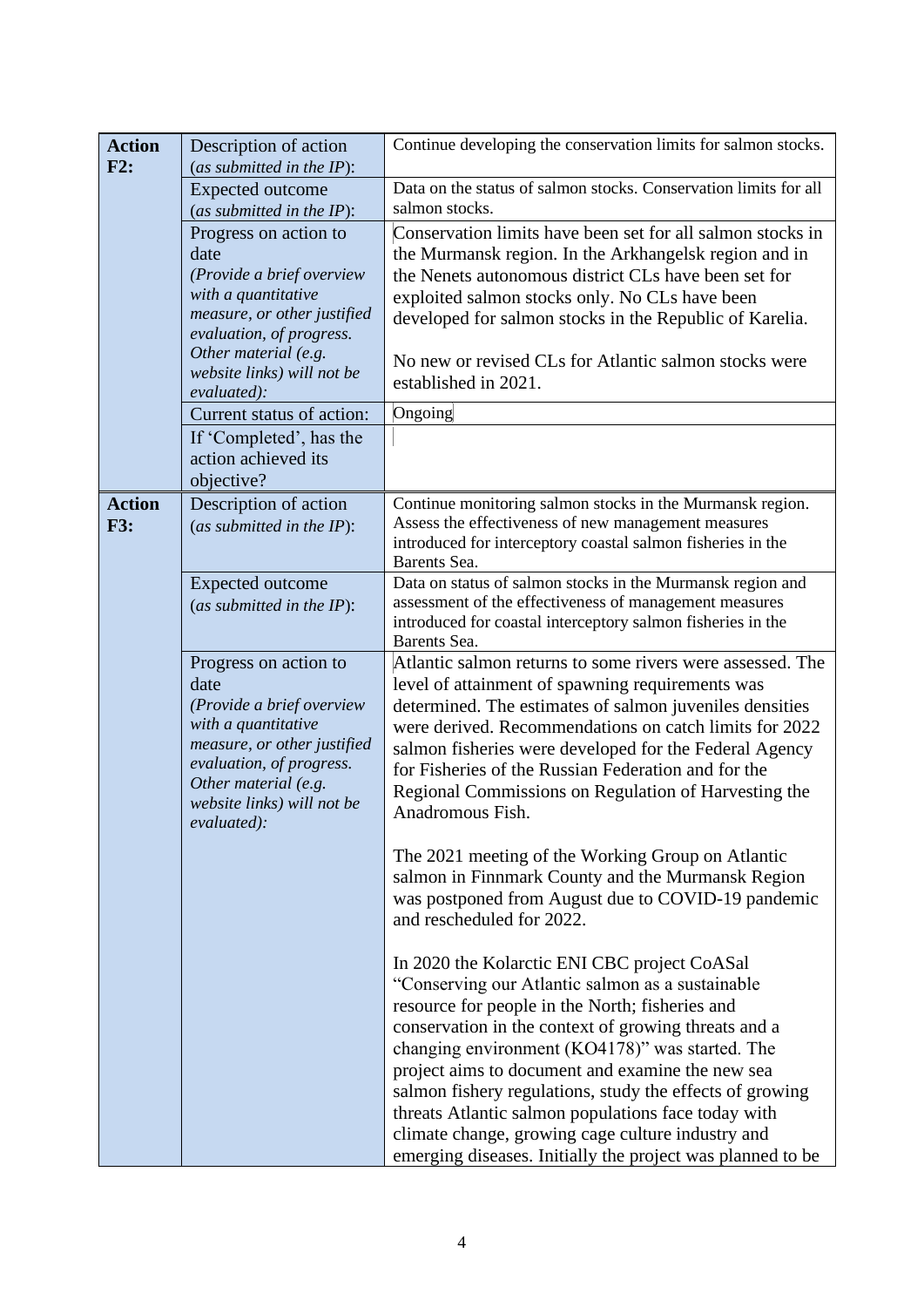| <b>Action</b>               | Description of action                              | Continue developing the conservation limits for salmon stocks.                                                        |
|-----------------------------|----------------------------------------------------|-----------------------------------------------------------------------------------------------------------------------|
| F2:                         | (as submitted in the $IP$ ):                       |                                                                                                                       |
|                             | <b>Expected outcome</b>                            | Data on the status of salmon stocks. Conservation limits for all<br>salmon stocks.                                    |
|                             | (as submitted in the $IP$ ):                       | Conservation limits have been set for all salmon stocks in                                                            |
|                             | Progress on action to<br>date                      | the Murmansk region. In the Arkhangelsk region and in                                                                 |
|                             | (Provide a brief overview                          | the Nenets autonomous district CLs have been set for                                                                  |
|                             | with a quantitative                                | exploited salmon stocks only. No CLs have been                                                                        |
|                             | measure, or other justified                        | developed for salmon stocks in the Republic of Karelia.                                                               |
|                             | evaluation, of progress.                           |                                                                                                                       |
|                             | Other material (e.g.<br>website links) will not be | No new or revised CLs for Atlantic salmon stocks were                                                                 |
|                             | evaluated):                                        | established in 2021.                                                                                                  |
|                             | Current status of action:                          | Ongoing                                                                                                               |
|                             | If 'Completed', has the                            |                                                                                                                       |
|                             | action achieved its                                |                                                                                                                       |
|                             | objective?                                         |                                                                                                                       |
| <b>Action</b><br><b>F3:</b> | Description of action                              | Continue monitoring salmon stocks in the Murmansk region.<br>Assess the effectiveness of new management measures      |
|                             | (as submitted in the $IP$ ):                       | introduced for interceptory coastal salmon fisheries in the                                                           |
|                             |                                                    | Barents Sea.                                                                                                          |
|                             | <b>Expected outcome</b>                            | Data on status of salmon stocks in the Murmansk region and                                                            |
|                             | (as submitted in the $IP$ ):                       | assessment of the effectiveness of management measures<br>introduced for coastal interceptory salmon fisheries in the |
|                             |                                                    | Barents Sea.                                                                                                          |
|                             | Progress on action to                              | Atlantic salmon returns to some rivers were assessed. The                                                             |
|                             | date                                               | level of attainment of spawning requirements was                                                                      |
|                             | (Provide a brief overview                          | determined. The estimates of salmon juveniles densities                                                               |
|                             | with a quantitative<br>measure, or other justified | were derived. Recommendations on catch limits for 2022                                                                |
|                             | evaluation, of progress.                           | salmon fisheries were developed for the Federal Agency<br>for Fisheries of the Russian Federation and for the         |
|                             | Other material (e.g.                               | Regional Commissions on Regulation of Harvesting the                                                                  |
|                             | website links) will not be                         | Anadromous Fish.                                                                                                      |
|                             | evaluated):                                        |                                                                                                                       |
|                             |                                                    | The 2021 meeting of the Working Group on Atlantic                                                                     |
|                             |                                                    | salmon in Finnmark County and the Murmansk Region                                                                     |
|                             |                                                    | was postponed from August due to COVID-19 pandemic<br>and rescheduled for 2022.                                       |
|                             |                                                    |                                                                                                                       |
|                             |                                                    | In 2020 the Kolarctic ENI CBC project CoASal                                                                          |
|                             |                                                    | "Conserving our Atlantic salmon as a sustainable                                                                      |
|                             |                                                    | resource for people in the North; fisheries and                                                                       |
|                             |                                                    | conservation in the context of growing threats and a                                                                  |
|                             |                                                    | changing environment (KO4178)" was started. The                                                                       |
|                             |                                                    | project aims to document and examine the new sea<br>salmon fishery regulations, study the effects of growing          |
|                             |                                                    | threats Atlantic salmon populations face today with                                                                   |
|                             |                                                    | climate change, growing cage culture industry and                                                                     |
|                             |                                                    | emerging diseases. Initially the project was planned to be                                                            |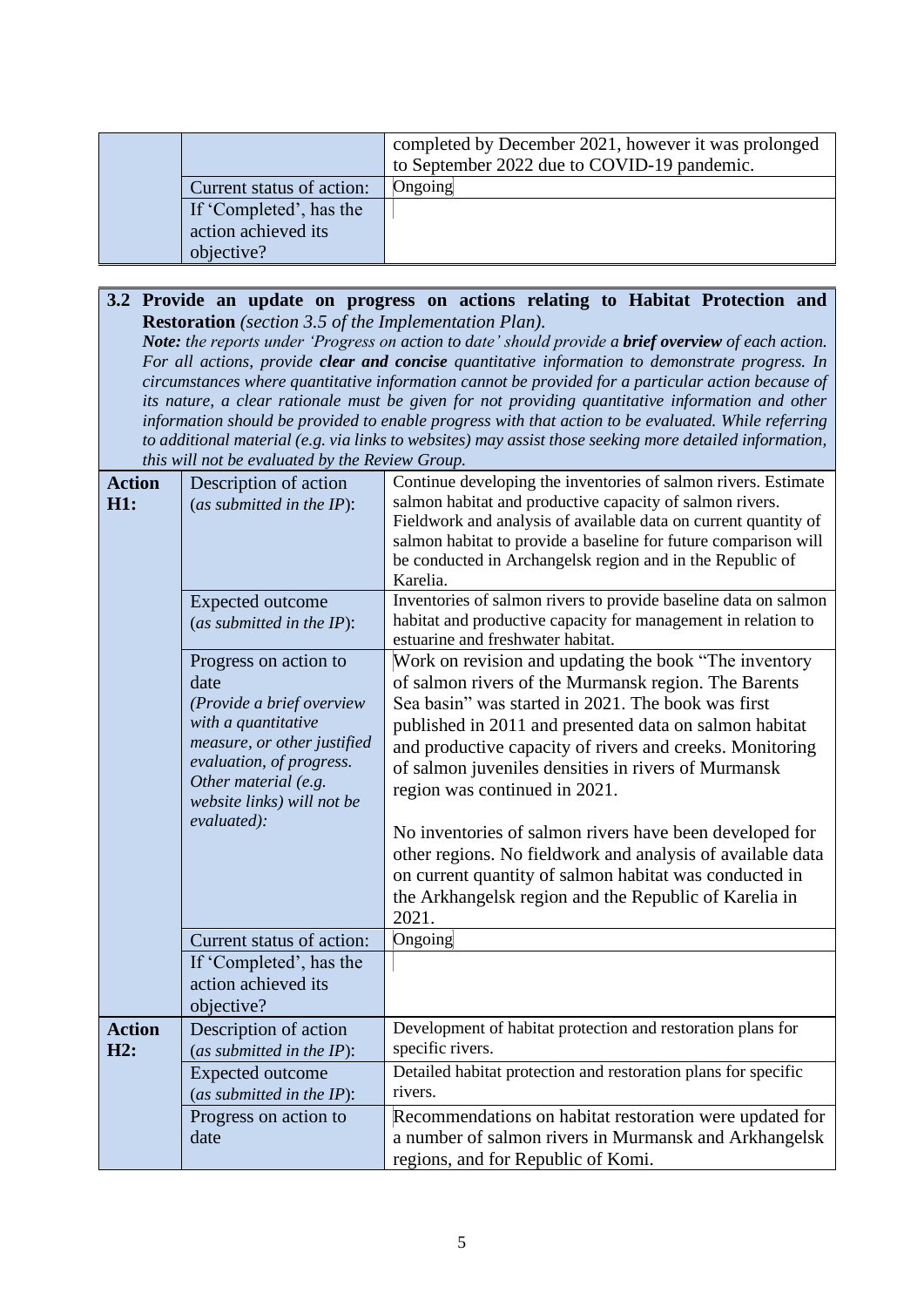|                           | completed by December 2021, however it was prolonged<br>to September 2022 due to COVID-19 pandemic. |
|---------------------------|-----------------------------------------------------------------------------------------------------|
| Current status of action: | Ongoing                                                                                             |
| If 'Completed', has the   |                                                                                                     |
| action achieved its       |                                                                                                     |
| objective?                |                                                                                                     |

# **3.2 Provide an update on progress on actions relating to Habitat Protection and Restoration** *(section 3.5 of the Implementation Plan).*

*Note: the reports under 'Progress on action to date' should provide a brief overview of each action. For all actions, provide clear and concise quantitative information to demonstrate progress. In circumstances where quantitative information cannot be provided for a particular action because of its nature, a clear rationale must be given for not providing quantitative information and other information should be provided to enable progress with that action to be evaluated. While referring to additional material (e.g. via links to websites) may assist those seeking more detailed information, this will not be evaluated by the Review Group.*

| <b>Action</b><br><b>H1:</b> | Description of action<br>(as submitted in the $IP$ ):<br><b>Expected outcome</b><br>(as submitted in the $IP$ ):<br>Progress on action to<br>date<br>(Provide a brief overview<br>with a quantitative<br>measure, or other justified<br>evaluation, of progress.<br>Other material (e.g.<br>website links) will not be<br>evaluated): | Continue developing the inventories of salmon rivers. Estimate<br>salmon habitat and productive capacity of salmon rivers.<br>Fieldwork and analysis of available data on current quantity of<br>salmon habitat to provide a baseline for future comparison will<br>be conducted in Archangelsk region and in the Republic of<br>Karelia.<br>Inventories of salmon rivers to provide baseline data on salmon<br>habitat and productive capacity for management in relation to<br>estuarine and freshwater habitat.<br>Work on revision and updating the book "The inventory<br>of salmon rivers of the Murmansk region. The Barents<br>Sea basin" was started in 2021. The book was first<br>published in 2011 and presented data on salmon habitat<br>and productive capacity of rivers and creeks. Monitoring<br>of salmon juveniles densities in rivers of Murmansk<br>region was continued in 2021.<br>No inventories of salmon rivers have been developed for<br>other regions. No fieldwork and analysis of available data<br>on current quantity of salmon habitat was conducted in<br>the Arkhangelsk region and the Republic of Karelia in<br>2021. |
|-----------------------------|---------------------------------------------------------------------------------------------------------------------------------------------------------------------------------------------------------------------------------------------------------------------------------------------------------------------------------------|--------------------------------------------------------------------------------------------------------------------------------------------------------------------------------------------------------------------------------------------------------------------------------------------------------------------------------------------------------------------------------------------------------------------------------------------------------------------------------------------------------------------------------------------------------------------------------------------------------------------------------------------------------------------------------------------------------------------------------------------------------------------------------------------------------------------------------------------------------------------------------------------------------------------------------------------------------------------------------------------------------------------------------------------------------------------------------------------------------------------------------------------------------------|
|                             | Current status of action:                                                                                                                                                                                                                                                                                                             | Ongoing                                                                                                                                                                                                                                                                                                                                                                                                                                                                                                                                                                                                                                                                                                                                                                                                                                                                                                                                                                                                                                                                                                                                                      |
|                             | If 'Completed', has the<br>action achieved its<br>objective?                                                                                                                                                                                                                                                                          |                                                                                                                                                                                                                                                                                                                                                                                                                                                                                                                                                                                                                                                                                                                                                                                                                                                                                                                                                                                                                                                                                                                                                              |
| <b>Action</b><br>H2:        | Description of action<br>(as submitted in the IP):                                                                                                                                                                                                                                                                                    | Development of habitat protection and restoration plans for<br>specific rivers.                                                                                                                                                                                                                                                                                                                                                                                                                                                                                                                                                                                                                                                                                                                                                                                                                                                                                                                                                                                                                                                                              |
|                             | <b>Expected outcome</b><br>(as submitted in the $IP$ ):                                                                                                                                                                                                                                                                               | Detailed habitat protection and restoration plans for specific<br>rivers.                                                                                                                                                                                                                                                                                                                                                                                                                                                                                                                                                                                                                                                                                                                                                                                                                                                                                                                                                                                                                                                                                    |
|                             | Progress on action to<br>date                                                                                                                                                                                                                                                                                                         | Recommendations on habitat restoration were updated for<br>a number of salmon rivers in Murmansk and Arkhangelsk<br>regions, and for Republic of Komi.                                                                                                                                                                                                                                                                                                                                                                                                                                                                                                                                                                                                                                                                                                                                                                                                                                                                                                                                                                                                       |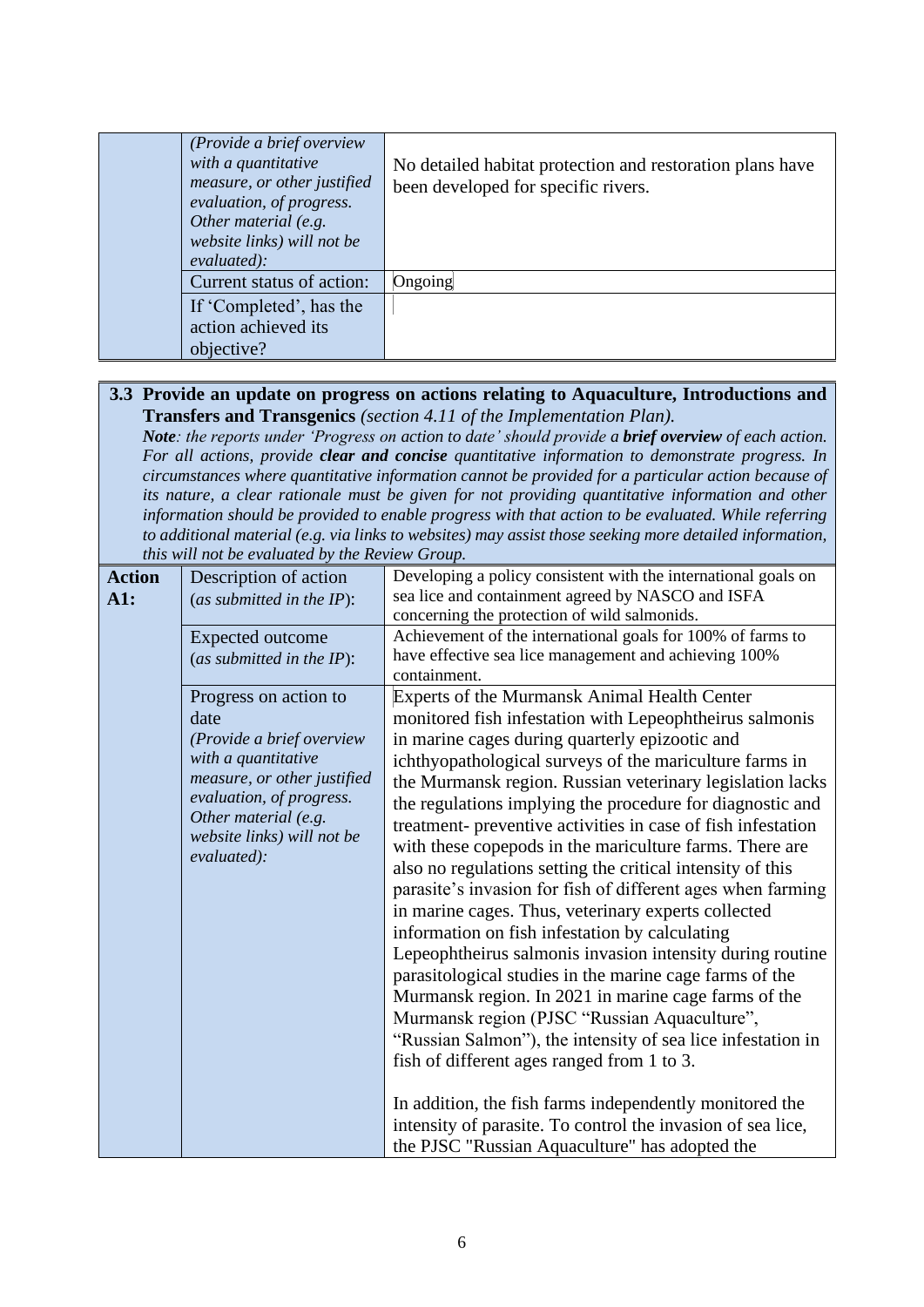| (Provide a brief overview<br>with a quantitative<br>measure, or other justified<br>evaluation, of progress.<br>Other material (e.g.<br>website links) will not be<br>evaluated): | No detailed habitat protection and restoration plans have<br>been developed for specific rivers. |
|----------------------------------------------------------------------------------------------------------------------------------------------------------------------------------|--------------------------------------------------------------------------------------------------|
| Current status of action:                                                                                                                                                        | Ongoing                                                                                          |
| If 'Completed', has the<br>action achieved its<br>objective?                                                                                                                     |                                                                                                  |

### **3.3 Provide an update on progress on actions relating to Aquaculture, Introductions and Transfers and Transgenics** *(section 4.11 of the Implementation Plan).*

*Note: the reports under 'Progress on action to date' should provide a brief overview of each action. For all actions, provide clear and concise quantitative information to demonstrate progress. In circumstances where quantitative information cannot be provided for a particular action because of its nature, a clear rationale must be given for not providing quantitative information and other information should be provided to enable progress with that action to be evaluated. While referring to additional material (e.g. via links to websites) may assist those seeking more detailed information, this will not be evaluated by the Review Group.*

| <b>Action</b><br>A1: | Description of action<br>(as submitted in the $IP$ ):<br><b>Expected outcome</b><br>(as submitted in the $IP$ ):                                                                                                  | Developing a policy consistent with the international goals on<br>sea lice and containment agreed by NASCO and ISFA<br>concerning the protection of wild salmonids.<br>Achievement of the international goals for 100% of farms to<br>have effective sea lice management and achieving 100%<br>containment.                                                                                                                                                                                                                                                                                                                                                                                                                                                                                                                                                                                                                                                                                                                                                                                                                                                                                                                              |
|----------------------|-------------------------------------------------------------------------------------------------------------------------------------------------------------------------------------------------------------------|------------------------------------------------------------------------------------------------------------------------------------------------------------------------------------------------------------------------------------------------------------------------------------------------------------------------------------------------------------------------------------------------------------------------------------------------------------------------------------------------------------------------------------------------------------------------------------------------------------------------------------------------------------------------------------------------------------------------------------------------------------------------------------------------------------------------------------------------------------------------------------------------------------------------------------------------------------------------------------------------------------------------------------------------------------------------------------------------------------------------------------------------------------------------------------------------------------------------------------------|
|                      | Progress on action to<br>date<br>(Provide a brief overview<br>with a quantitative<br>measure, or other justified<br>evaluation, of progress.<br>Other material (e.g.<br>website links) will not be<br>evaluated): | Experts of the Murmansk Animal Health Center<br>monitored fish infestation with Lepeophtheirus salmonis<br>in marine cages during quarterly epizootic and<br>ichthyopathological surveys of the mariculture farms in<br>the Murmansk region. Russian veterinary legislation lacks<br>the regulations implying the procedure for diagnostic and<br>treatment- preventive activities in case of fish infestation<br>with these copepods in the mariculture farms. There are<br>also no regulations setting the critical intensity of this<br>parasite's invasion for fish of different ages when farming<br>in marine cages. Thus, veterinary experts collected<br>information on fish infestation by calculating<br>Lepeophtheirus salmonis invasion intensity during routine<br>parasitological studies in the marine cage farms of the<br>Murmansk region. In 2021 in marine cage farms of the<br>Murmansk region (PJSC "Russian Aquaculture",<br>"Russian Salmon"), the intensity of sea lice infestation in<br>fish of different ages ranged from 1 to 3.<br>In addition, the fish farms independently monitored the<br>intensity of parasite. To control the invasion of sea lice,<br>the PJSC "Russian Aquaculture" has adopted the |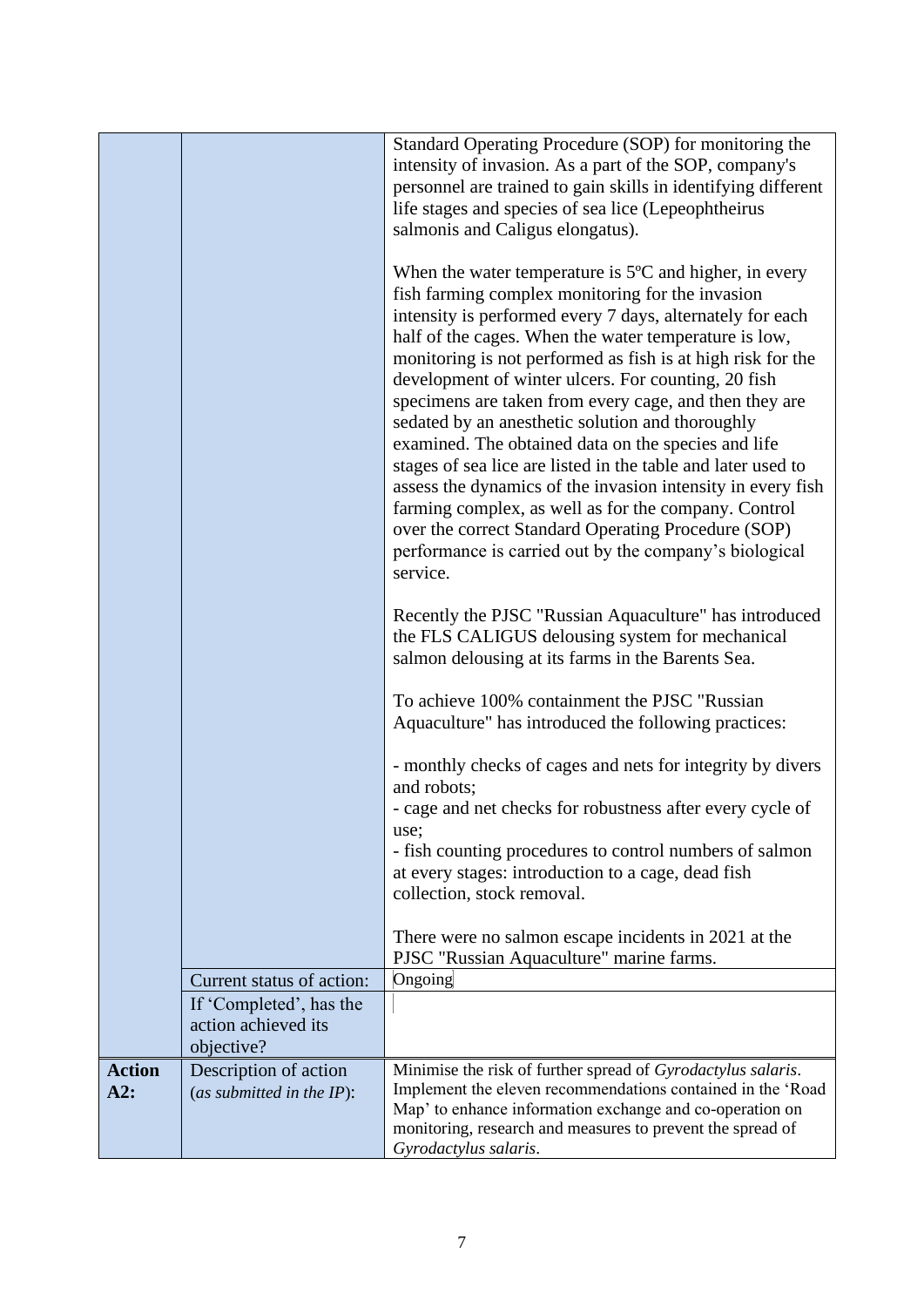|                      |                                                              | Standard Operating Procedure (SOP) for monitoring the<br>intensity of invasion. As a part of the SOP, company's<br>personnel are trained to gain skills in identifying different<br>life stages and species of sea lice (Lepeophtheirus<br>salmonis and Caligus elongatus).<br>When the water temperature is $5^{\circ}$ C and higher, in every<br>fish farming complex monitoring for the invasion<br>intensity is performed every 7 days, alternately for each<br>half of the cages. When the water temperature is low,<br>monitoring is not performed as fish is at high risk for the<br>development of winter ulcers. For counting, 20 fish<br>specimens are taken from every cage, and then they are<br>sedated by an anesthetic solution and thoroughly<br>examined. The obtained data on the species and life<br>stages of sea lice are listed in the table and later used to<br>assess the dynamics of the invasion intensity in every fish<br>farming complex, as well as for the company. Control<br>over the correct Standard Operating Procedure (SOP)<br>performance is carried out by the company's biological<br>service. |
|----------------------|--------------------------------------------------------------|------------------------------------------------------------------------------------------------------------------------------------------------------------------------------------------------------------------------------------------------------------------------------------------------------------------------------------------------------------------------------------------------------------------------------------------------------------------------------------------------------------------------------------------------------------------------------------------------------------------------------------------------------------------------------------------------------------------------------------------------------------------------------------------------------------------------------------------------------------------------------------------------------------------------------------------------------------------------------------------------------------------------------------------------------------------------------------------------------------------------------------------|
|                      |                                                              | Recently the PJSC "Russian Aquaculture" has introduced<br>the FLS CALIGUS delousing system for mechanical<br>salmon delousing at its farms in the Barents Sea.                                                                                                                                                                                                                                                                                                                                                                                                                                                                                                                                                                                                                                                                                                                                                                                                                                                                                                                                                                           |
|                      |                                                              | To achieve 100% containment the PJSC "Russian"<br>Aquaculture" has introduced the following practices:                                                                                                                                                                                                                                                                                                                                                                                                                                                                                                                                                                                                                                                                                                                                                                                                                                                                                                                                                                                                                                   |
|                      |                                                              | - monthly checks of cages and nets for integrity by divers<br>and robots;                                                                                                                                                                                                                                                                                                                                                                                                                                                                                                                                                                                                                                                                                                                                                                                                                                                                                                                                                                                                                                                                |
|                      |                                                              | - cage and net checks for robustness after every cycle of<br>use;<br>- fish counting procedures to control numbers of salmon                                                                                                                                                                                                                                                                                                                                                                                                                                                                                                                                                                                                                                                                                                                                                                                                                                                                                                                                                                                                             |
|                      |                                                              | at every stages: introduction to a cage, dead fish<br>collection, stock removal.                                                                                                                                                                                                                                                                                                                                                                                                                                                                                                                                                                                                                                                                                                                                                                                                                                                                                                                                                                                                                                                         |
|                      |                                                              | There were no salmon escape incidents in 2021 at the<br>PJSC "Russian Aquaculture" marine farms.                                                                                                                                                                                                                                                                                                                                                                                                                                                                                                                                                                                                                                                                                                                                                                                                                                                                                                                                                                                                                                         |
|                      | Current status of action:                                    | Ongoing                                                                                                                                                                                                                                                                                                                                                                                                                                                                                                                                                                                                                                                                                                                                                                                                                                                                                                                                                                                                                                                                                                                                  |
|                      | If 'Completed', has the<br>action achieved its<br>objective? |                                                                                                                                                                                                                                                                                                                                                                                                                                                                                                                                                                                                                                                                                                                                                                                                                                                                                                                                                                                                                                                                                                                                          |
| <b>Action</b><br>A2: | Description of action<br>(as submitted in the $IP$ ):        | Minimise the risk of further spread of Gyrodactylus salaris.<br>Implement the eleven recommendations contained in the 'Road<br>Map' to enhance information exchange and co-operation on<br>monitoring, research and measures to prevent the spread of<br>Gyrodactylus salaris.                                                                                                                                                                                                                                                                                                                                                                                                                                                                                                                                                                                                                                                                                                                                                                                                                                                           |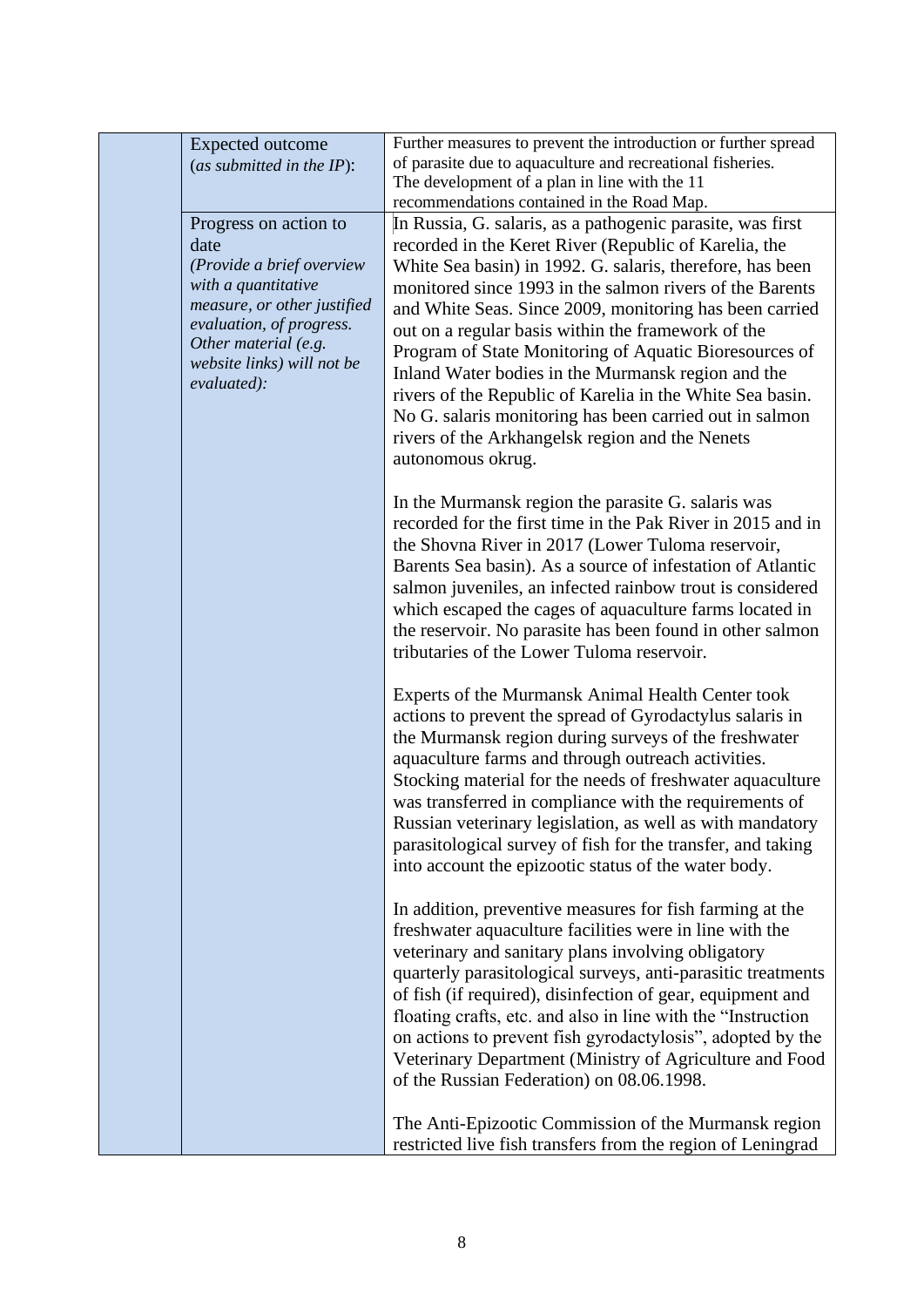| <b>Expected outcome</b>                            | Further measures to prevent the introduction or further spread                                                      |
|----------------------------------------------------|---------------------------------------------------------------------------------------------------------------------|
| (as submitted in the IP):                          | of parasite due to aquaculture and recreational fisheries.                                                          |
|                                                    | The development of a plan in line with the 11                                                                       |
|                                                    | recommendations contained in the Road Map.                                                                          |
| Progress on action to<br>date                      | In Russia, G. salaris, as a pathogenic parasite, was first<br>recorded in the Keret River (Republic of Karelia, the |
| (Provide a brief overview                          | White Sea basin) in 1992. G. salaris, therefore, has been                                                           |
| with a quantitative<br>measure, or other justified | monitored since 1993 in the salmon rivers of the Barents                                                            |
| evaluation, of progress.                           | and White Seas. Since 2009, monitoring has been carried                                                             |
| Other material (e.g.                               | out on a regular basis within the framework of the                                                                  |
| website links) will not be                         | Program of State Monitoring of Aquatic Bioresources of                                                              |
| evaluated):                                        | Inland Water bodies in the Murmansk region and the                                                                  |
|                                                    | rivers of the Republic of Karelia in the White Sea basin.                                                           |
|                                                    | No G. salaris monitoring has been carried out in salmon<br>rivers of the Arkhangelsk region and the Nenets          |
|                                                    | autonomous okrug.                                                                                                   |
|                                                    |                                                                                                                     |
|                                                    | In the Murmansk region the parasite G. salaris was                                                                  |
|                                                    | recorded for the first time in the Pak River in 2015 and in                                                         |
|                                                    | the Shovna River in 2017 (Lower Tuloma reservoir,                                                                   |
|                                                    | Barents Sea basin). As a source of infestation of Atlantic                                                          |
|                                                    | salmon juveniles, an infected rainbow trout is considered                                                           |
|                                                    | which escaped the cages of aquaculture farms located in                                                             |
|                                                    | the reservoir. No parasite has been found in other salmon                                                           |
|                                                    | tributaries of the Lower Tuloma reservoir.                                                                          |
|                                                    | Experts of the Murmansk Animal Health Center took                                                                   |
|                                                    | actions to prevent the spread of Gyrodactylus salaris in                                                            |
|                                                    | the Murmansk region during surveys of the freshwater                                                                |
|                                                    | aquaculture farms and through outreach activities.                                                                  |
|                                                    | Stocking material for the needs of freshwater aquaculture                                                           |
|                                                    | was transferred in compliance with the requirements of                                                              |
|                                                    | Russian veterinary legislation, as well as with mandatory                                                           |
|                                                    | parasitological survey of fish for the transfer, and taking                                                         |
|                                                    | into account the epizootic status of the water body.                                                                |
|                                                    | In addition, preventive measures for fish farming at the                                                            |
|                                                    | freshwater aquaculture facilities were in line with the                                                             |
|                                                    | veterinary and sanitary plans involving obligatory                                                                  |
|                                                    | quarterly parasitological surveys, anti-parasitic treatments                                                        |
|                                                    | of fish (if required), disinfection of gear, equipment and                                                          |
|                                                    | floating crafts, etc. and also in line with the "Instruction"                                                       |
|                                                    | on actions to prevent fish gyrodactylosis", adopted by the                                                          |
|                                                    | Veterinary Department (Ministry of Agriculture and Food                                                             |
|                                                    | of the Russian Federation) on 08.06.1998.                                                                           |
|                                                    |                                                                                                                     |
|                                                    | The Anti-Epizootic Commission of the Murmansk region<br>restricted live fish transfers from the region of Leningrad |
|                                                    |                                                                                                                     |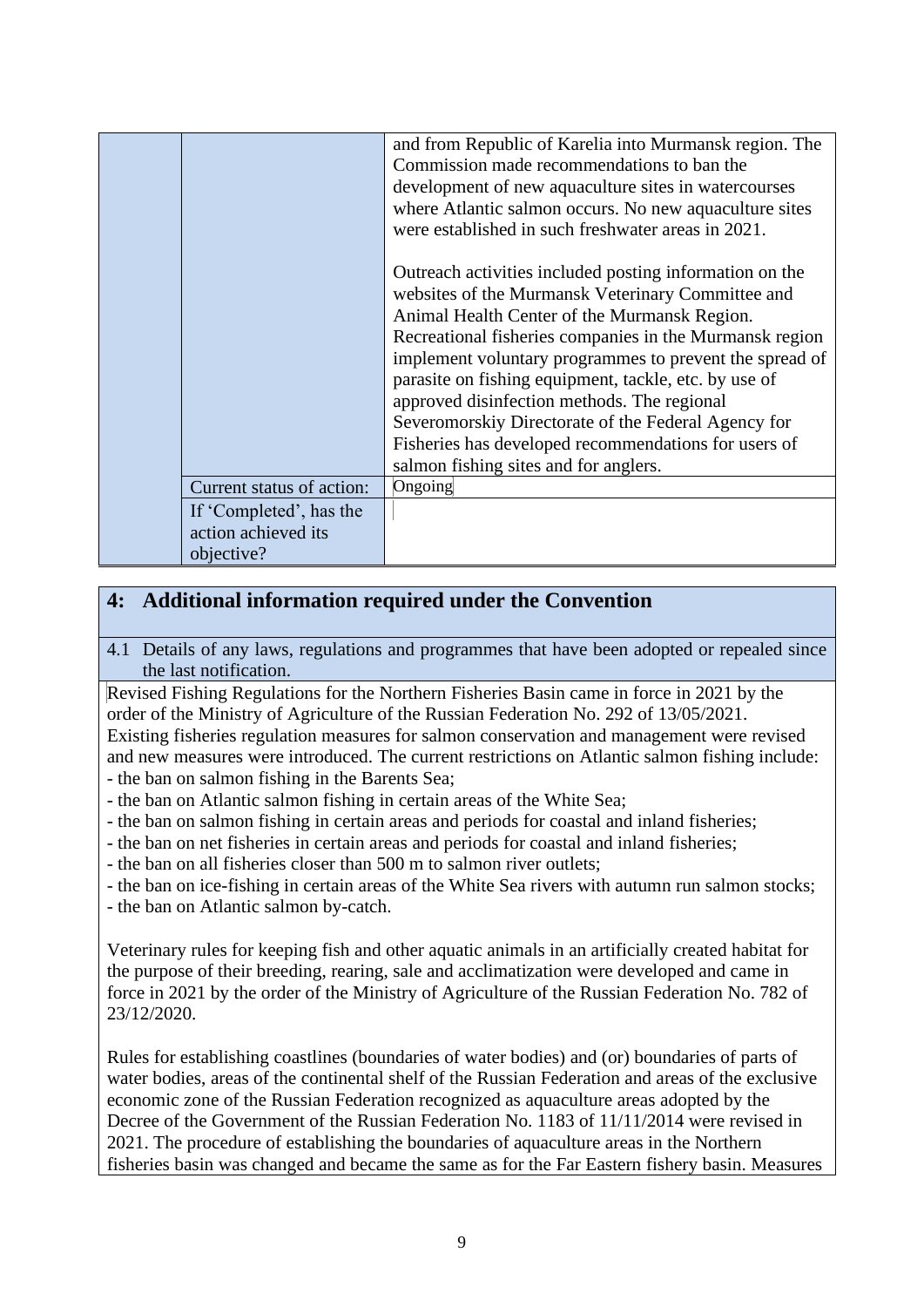|  |                                                              | and from Republic of Karelia into Murmansk region. The<br>Commission made recommendations to ban the<br>development of new aquaculture sites in watercourses<br>where Atlantic salmon occurs. No new aquaculture sites<br>were established in such freshwater areas in 2021.                                                                                                                                                                                                                                                                       |
|--|--------------------------------------------------------------|----------------------------------------------------------------------------------------------------------------------------------------------------------------------------------------------------------------------------------------------------------------------------------------------------------------------------------------------------------------------------------------------------------------------------------------------------------------------------------------------------------------------------------------------------|
|  |                                                              | Outreach activities included posting information on the<br>websites of the Murmansk Veterinary Committee and<br>Animal Health Center of the Murmansk Region.<br>Recreational fisheries companies in the Murmansk region<br>implement voluntary programmes to prevent the spread of<br>parasite on fishing equipment, tackle, etc. by use of<br>approved disinfection methods. The regional<br>Severomorskiy Directorate of the Federal Agency for<br>Fisheries has developed recommendations for users of<br>salmon fishing sites and for anglers. |
|  | Current status of action:                                    | Ongoing                                                                                                                                                                                                                                                                                                                                                                                                                                                                                                                                            |
|  | If 'Completed', has the<br>action achieved its<br>objective? |                                                                                                                                                                                                                                                                                                                                                                                                                                                                                                                                                    |

## **4: Additional information required under the Convention**

4.1 Details of any laws, regulations and programmes that have been adopted or repealed since the last notification.

Revised Fishing Regulations for the Northern Fisheries Basin came in force in 2021 by the order of the Ministry of Agriculture of the Russian Federation No. 292 of 13/05/2021. Existing fisheries regulation measures for salmon conservation and management were revised and new measures were introduced. The current restrictions on Atlantic salmon fishing include: - the ban on salmon fishing in the Barents Sea;

- the ban on Atlantic salmon fishing in certain areas of the White Sea;
- the ban on salmon fishing in certain areas and periods for coastal and inland fisheries;
- the ban on net fisheries in certain areas and periods for coastal and inland fisheries;
- the ban on all fisheries closer than 500 m to salmon river outlets;
- the ban on ice-fishing in certain areas of the White Sea rivers with autumn run salmon stocks;
- the ban on Atlantic salmon by-catch.

Veterinary rules for keeping fish and other aquatic animals in an artificially created habitat for the purpose of their breeding, rearing, sale and acclimatization were developed and came in force in 2021 by the order of the Ministry of Agriculture of the Russian Federation No. 782 of 23/12/2020.

Rules for establishing coastlines (boundaries of water bodies) and (or) boundaries of parts of water bodies, areas of the continental shelf of the Russian Federation and areas of the exclusive economic zone of the Russian Federation recognized as aquaculture areas adopted by the Decree of the Government of the Russian Federation No. 1183 of 11/11/2014 were revised in 2021. The procedure of establishing the boundaries of aquaculture areas in the Northern fisheries basin was changed and became the same as for the Far Eastern fishery basin. Measures